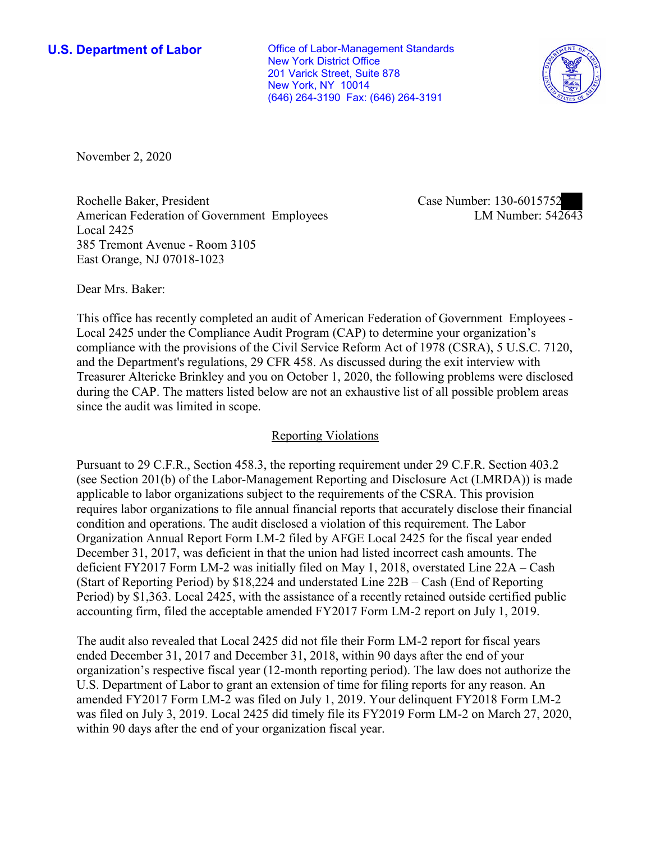New York, NY 10014 **U.S. Department of Labor Conservative Conservative Conservative Conservative U.S.** Department of Labor New York District Office 201 Varick Street, Suite 878 (646) 264-3190 Fax: (646) 264-3191



November 2, 2020

Rochelle Baker, President Case Number: 130-6015752 American Federation of Government Employees Local 2425 385 Tremont Avenue - Room 3105 East Orange, NJ 07018-1023

LM Number:  $542643$ 

Dear Mrs. Baker:

 This office has recently completed an audit of American Federation of Government Employees - Local 2425 under the Compliance Audit Program (CAP) to determine your organization's compliance with the provisions of the Civil Service Reform Act of 1978 (CSRA), 5 U.S.C. 7120, and the Department's regulations, 29 CFR 458. As discussed during the exit interview with Treasurer Altericke Brinkley and you on October 1, 2020, the following problems were disclosed during the CAP. The matters listed below are not an exhaustive list of all possible problem areas since the audit was limited in scope.

## Reporting Violations

 Organization Annual Report Form LM-2 filed by AFGE Local 2425 for the fiscal year ended deficient FY2017 Form LM-2 was initially filed on May 1, 2018, overstated Line 22A – Cash Pursuant to 29 C.F.R., Section 458.3, the reporting requirement under 29 C.F.R. Section 403.2 (see Section 201(b) of the Labor-Management Reporting and Disclosure Act (LMRDA)) is made applicable to labor organizations subject to the requirements of the CSRA. This provision requires labor organizations to file annual financial reports that accurately disclose their financial condition and operations. The audit disclosed a violation of this requirement. The Labor December 31, 2017, was deficient in that the union had listed incorrect cash amounts. The (Start of Reporting Period) by \$18,224 and understated Line 22B – Cash (End of Reporting Period) by \$1,363. Local 2425, with the assistance of a recently retained outside certified public accounting firm, filed the acceptable amended FY2017 Form LM-2 report on July 1, 2019.

 The audit also revealed that Local 2425 did not file their Form LM-2 report for fiscal years ended December 31, 2017 and December 31, 2018, within 90 days after the end of your within 90 days after the end of your organization fiscal year. organization's respective fiscal year (12-month reporting period). The law does not authorize the U.S. Department of Labor to grant an extension of time for filing reports for any reason. An amended FY2017 Form LM-2 was filed on July 1, 2019. Your delinquent FY2018 Form LM-2 was filed on July 3, 2019. Local 2425 did timely file its FY2019 Form LM-2 on March 27, 2020,